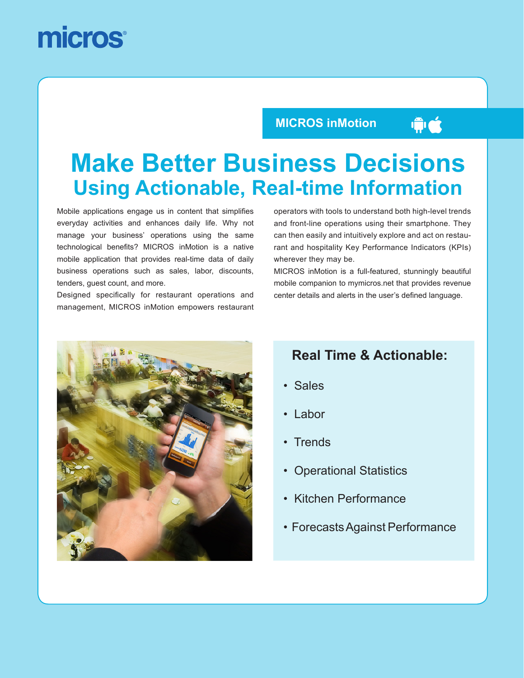# micros

### **MICROS inMotion**

# $\hat{\mathbf{w}}$

# **Make Better Business Decisions Using Actionable, Real-time Information**

Mobile applications engage us in content that simplifies everyday activities and enhances daily life. Why not manage your business' operations using the same technological benefits? MICROS inMotion is a native mobile application that provides real-time data of daily business operations such as sales, labor, discounts, tenders, guest count, and more.

Designed specifically for restaurant operations and management, MICROS inMotion empowers restaurant

operators with tools to understand both high-level trends and front-line operations using their smartphone. They can then easily and intuitively explore and act on restaurant and hospitality Key Performance Indicators (KPIs) wherever they may be.

MICROS inMotion is a full-featured, stunningly beautiful mobile companion to mymicros.net that provides revenue center details and alerts in the user's defined language.



### **Real Time & Actionable:**

- Sales
- Labor
- Trends
- Operational Statistics
- Kitchen Performance
- Forecasts Against Performance